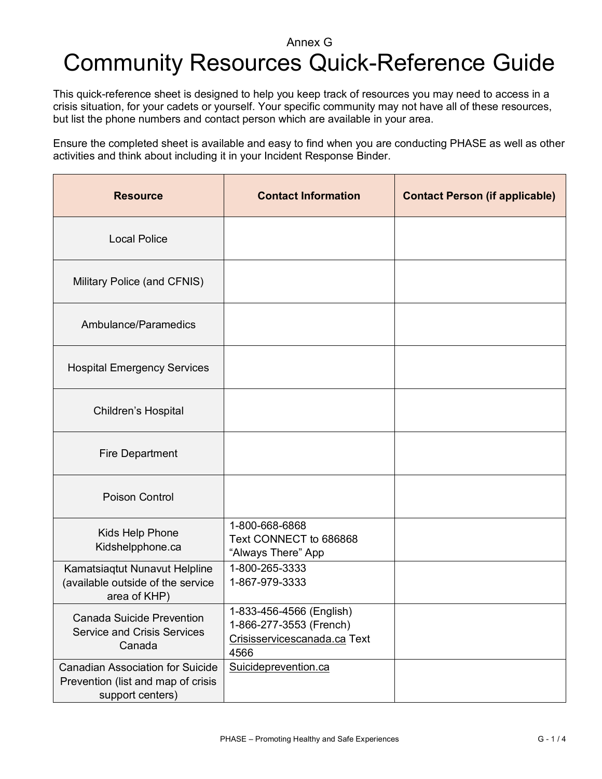## Annex G Community Resources Quick-Reference Guide

This quick-reference sheet is designed to help you keep track of resources you may need to access in a crisis situation, for your cadets or yourself. Your specific community may not have all of these resources, but list the phone numbers and contact person which are available in your area.

Ensure the completed sheet is available and easy to find when you are conducting PHASE as well as other activities and think about including it in your Incident Response Binder.

| <b>Resource</b>                                                                                   | <b>Contact Information</b>                                                                  | <b>Contact Person (if applicable)</b> |
|---------------------------------------------------------------------------------------------------|---------------------------------------------------------------------------------------------|---------------------------------------|
| <b>Local Police</b>                                                                               |                                                                                             |                                       |
| Military Police (and CFNIS)                                                                       |                                                                                             |                                       |
| Ambulance/Paramedics                                                                              |                                                                                             |                                       |
| <b>Hospital Emergency Services</b>                                                                |                                                                                             |                                       |
| Children's Hospital                                                                               |                                                                                             |                                       |
| <b>Fire Department</b>                                                                            |                                                                                             |                                       |
| Poison Control                                                                                    |                                                                                             |                                       |
| Kids Help Phone<br>Kidshelpphone.ca                                                               | 1-800-668-6868<br>Text CONNECT to 686868<br>"Always There" App                              |                                       |
| Kamatsiaqtut Nunavut Helpline<br>(available outside of the service<br>area of KHP)                | 1-800-265-3333<br>1-867-979-3333                                                            |                                       |
| <b>Canada Suicide Prevention</b><br><b>Service and Crisis Services</b><br>Canada                  | 1-833-456-4566 (English)<br>1-866-277-3553 (French)<br>Crisisservicescanada.ca Text<br>4566 |                                       |
| <b>Canadian Association for Suicide</b><br>Prevention (list and map of crisis<br>support centers) | Suicideprevention.ca                                                                        |                                       |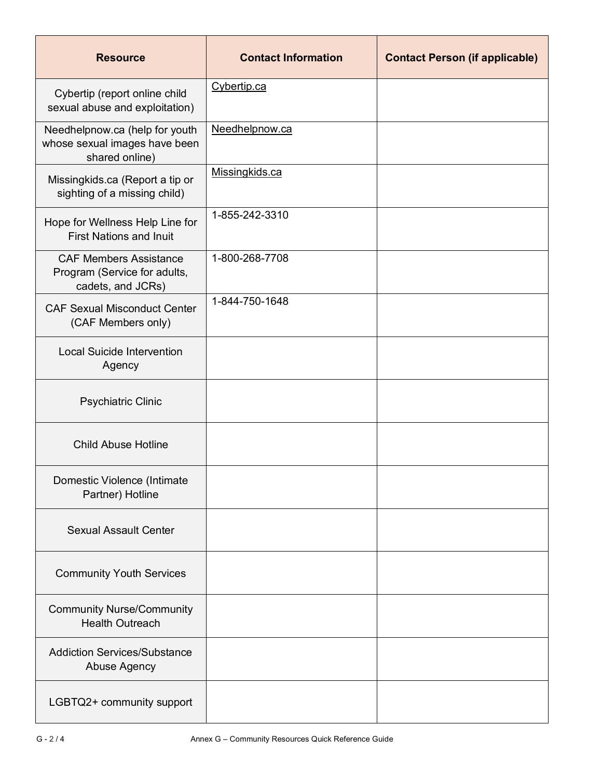| <b>Resource</b>                                                                    | <b>Contact Information</b> | <b>Contact Person (if applicable)</b> |
|------------------------------------------------------------------------------------|----------------------------|---------------------------------------|
| Cybertip (report online child<br>sexual abuse and exploitation)                    | Cybertip.ca                |                                       |
| Needhelpnow.ca (help for youth<br>whose sexual images have been<br>shared online)  | Needhelpnow.ca             |                                       |
| Missingkids.ca (Report a tip or<br>sighting of a missing child)                    | Missingkids.ca             |                                       |
| Hope for Wellness Help Line for<br><b>First Nations and Inuit</b>                  | 1-855-242-3310             |                                       |
| <b>CAF Members Assistance</b><br>Program (Service for adults,<br>cadets, and JCRs) | 1-800-268-7708             |                                       |
| <b>CAF Sexual Misconduct Center</b><br>(CAF Members only)                          | 1-844-750-1648             |                                       |
| <b>Local Suicide Intervention</b><br>Agency                                        |                            |                                       |
| <b>Psychiatric Clinic</b>                                                          |                            |                                       |
| <b>Child Abuse Hotline</b>                                                         |                            |                                       |
| Domestic Violence (Intimate<br>Partner) Hotline                                    |                            |                                       |
| <b>Sexual Assault Center</b>                                                       |                            |                                       |
| <b>Community Youth Services</b>                                                    |                            |                                       |
| <b>Community Nurse/Community</b><br><b>Health Outreach</b>                         |                            |                                       |
| <b>Addiction Services/Substance</b><br>Abuse Agency                                |                            |                                       |
| LGBTQ2+ community support                                                          |                            |                                       |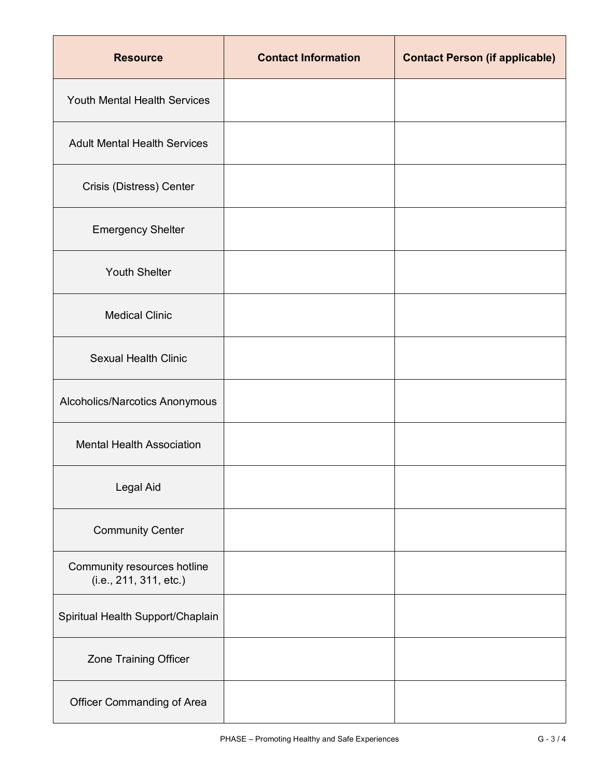| <b>Resource</b>                                       | <b>Contact Information</b> | <b>Contact Person (if applicable)</b> |
|-------------------------------------------------------|----------------------------|---------------------------------------|
| Youth Mental Health Services                          |                            |                                       |
| <b>Adult Mental Health Services</b>                   |                            |                                       |
| Crisis (Distress) Center                              |                            |                                       |
| <b>Emergency Shelter</b>                              |                            |                                       |
| <b>Youth Shelter</b>                                  |                            |                                       |
| <b>Medical Clinic</b>                                 |                            |                                       |
| <b>Sexual Health Clinic</b>                           |                            |                                       |
| Alcoholics/Narcotics Anonymous                        |                            |                                       |
| <b>Mental Health Association</b>                      |                            |                                       |
| Legal Aid                                             |                            |                                       |
| <b>Community Center</b>                               |                            |                                       |
| Community resources hotline<br>(i.e., 211, 311, etc.) |                            |                                       |
| Spiritual Health Support/Chaplain                     |                            |                                       |
| Zone Training Officer                                 |                            |                                       |
| Officer Commanding of Area                            |                            |                                       |